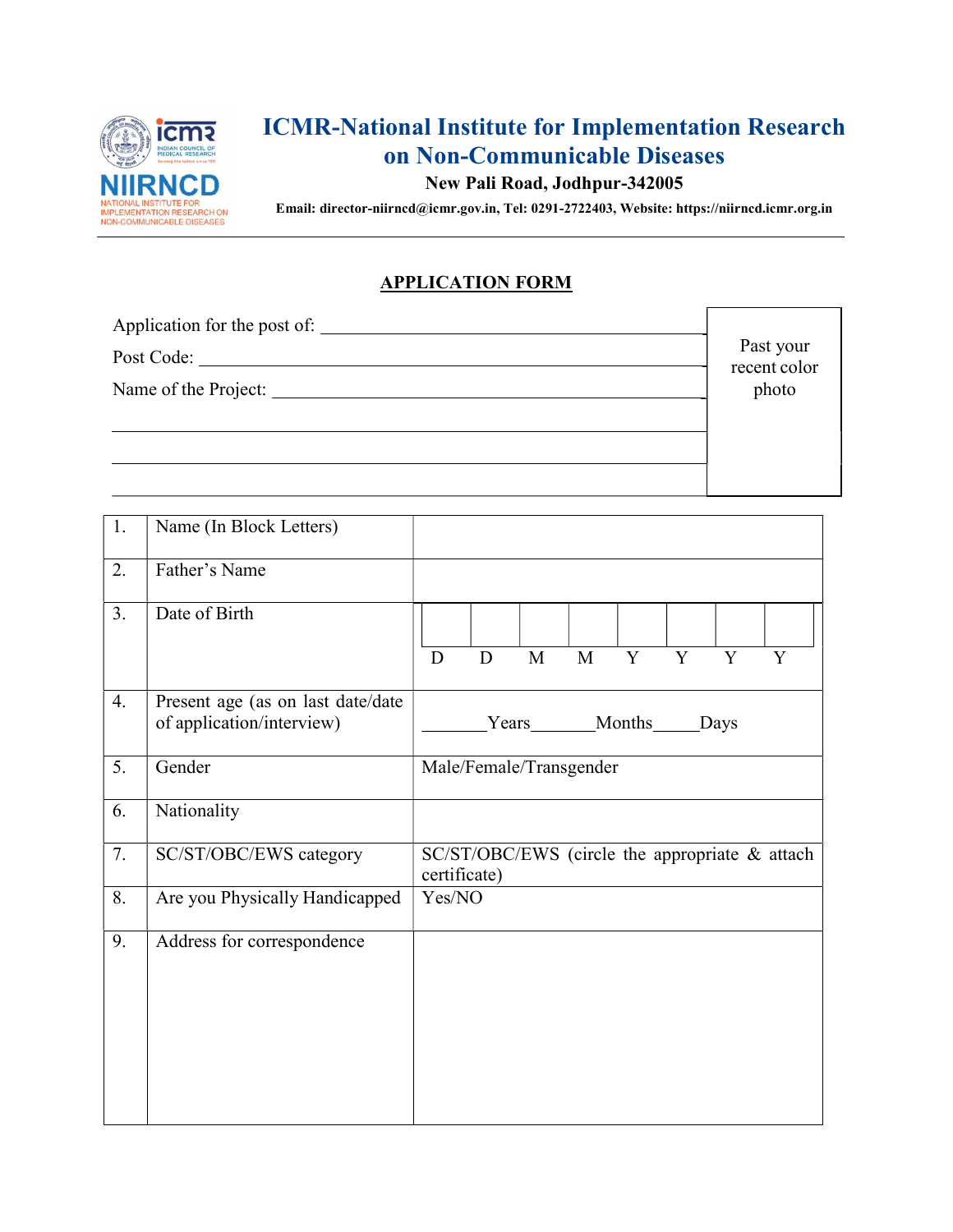

# ICMR-National Institute for Implementation Research on Non-Communicable Diseases

### New Pali Road, Jodhpur-342005

Email: director-niirncd@icmr.gov.in, Tel: 0291-2722403, Website: https://niirncd.icmr.org.in

#### APPLICATION FORM

| Application for the post of:       | Past your             |
|------------------------------------|-----------------------|
| Post Code:<br>Name of the Project: | recent color<br>photo |
|                                    |                       |

| 1. | Name (In Block Letters)                                        |              |           |             |                         |                |                |                |                                                |
|----|----------------------------------------------------------------|--------------|-----------|-------------|-------------------------|----------------|----------------|----------------|------------------------------------------------|
| 2. | Father's Name                                                  |              |           |             |                         |                |                |                |                                                |
| 3. | Date of Birth                                                  |              |           |             |                         |                |                |                |                                                |
|    |                                                                | $\mathbf D$  | ${\bf D}$ | $\mathbf M$ | $\overline{M}$          | $\overline{Y}$ | $\overline{Y}$ | $\overline{Y}$ | $\overline{Y}$                                 |
| 4. | Present age (as on last date/date<br>of application/interview) |              | Years     |             |                         | Months         |                | Days           |                                                |
| 5. | Gender                                                         |              |           |             | Male/Female/Transgender |                |                |                |                                                |
| 6. | Nationality                                                    |              |           |             |                         |                |                |                |                                                |
| 7. | SC/ST/OBC/EWS category                                         | certificate) |           |             |                         |                |                |                | SC/ST/OBC/EWS (circle the appropriate & attach |
| 8. | Are you Physically Handicapped                                 | Yes/NO       |           |             |                         |                |                |                |                                                |
| 9. | Address for correspondence                                     |              |           |             |                         |                |                |                |                                                |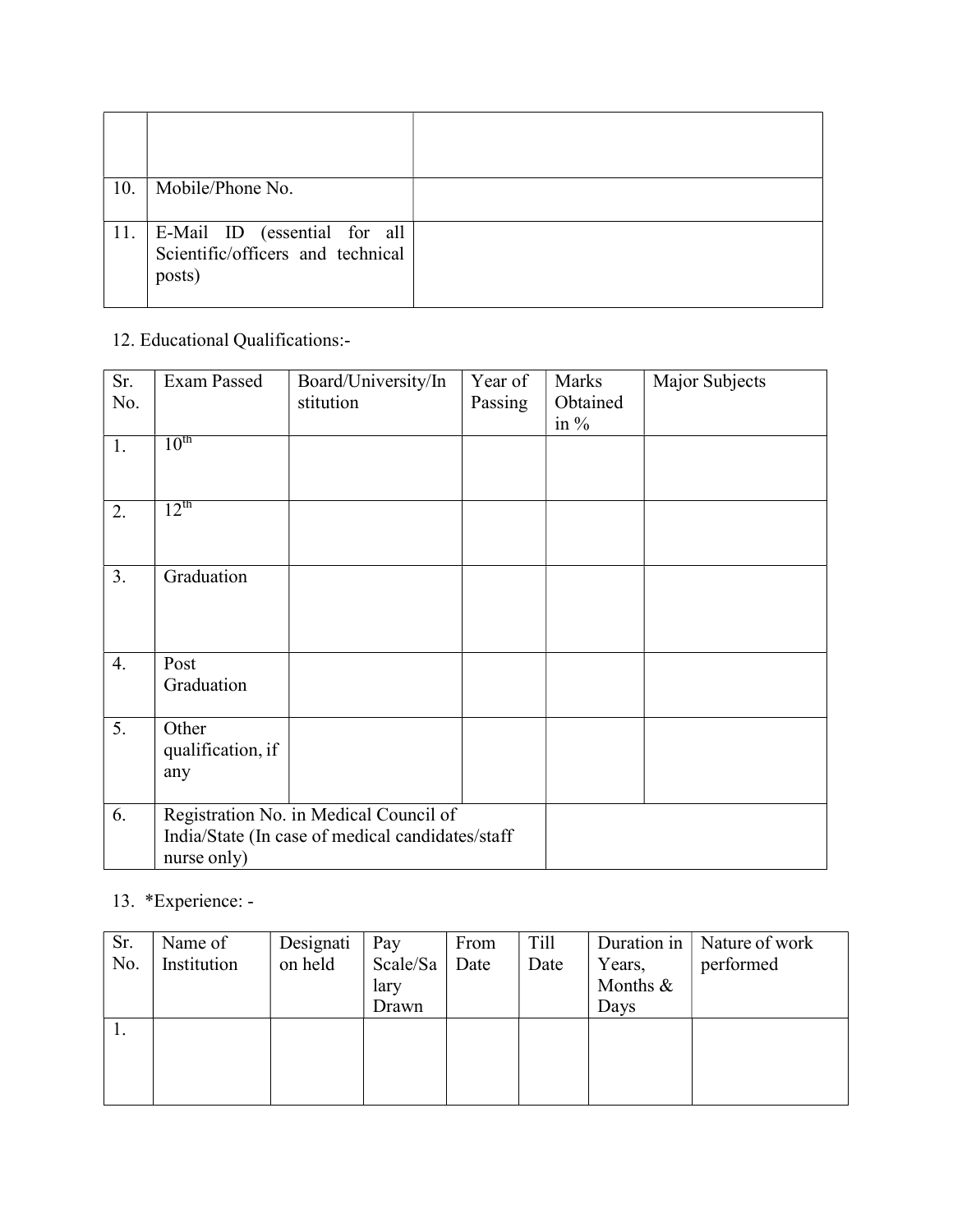| 10. | Mobile/Phone No.                                                             |  |
|-----|------------------------------------------------------------------------------|--|
|     | 11. E-Mail ID (essential for all Scientific/officers and technical<br>posts) |  |

## 12. Educational Qualifications:-

| Sr.<br>No. | Exam Passed                       | Board/University/In<br>stitution                                                           | Year of<br>Passing | Marks<br>Obtained<br>in $\%$ | Major Subjects |
|------------|-----------------------------------|--------------------------------------------------------------------------------------------|--------------------|------------------------------|----------------|
| 1.         | $10^{\text{th}}$                  |                                                                                            |                    |                              |                |
| 2.         | $12^{\text{th}}$                  |                                                                                            |                    |                              |                |
| 3.         | Graduation                        |                                                                                            |                    |                              |                |
| 4.         | Post<br>Graduation                |                                                                                            |                    |                              |                |
| 5.         | Other<br>qualification, if<br>any |                                                                                            |                    |                              |                |
| 6.         | nurse only)                       | Registration No. in Medical Council of<br>India/State (In case of medical candidates/staff |                    |                              |                |

# 13. \*Experience: -

| Sr. | Name of     | Designati | Pay      | From | Till |          | Duration in   Nature of work |
|-----|-------------|-----------|----------|------|------|----------|------------------------------|
| No. | Institution | on held   | Scale/Sa | Date | Date | Years,   | performed                    |
|     |             |           | lary     |      |      | Months & |                              |
|     |             |           | Drawn    |      |      | Days     |                              |
| 1.  |             |           |          |      |      |          |                              |
|     |             |           |          |      |      |          |                              |
|     |             |           |          |      |      |          |                              |
|     |             |           |          |      |      |          |                              |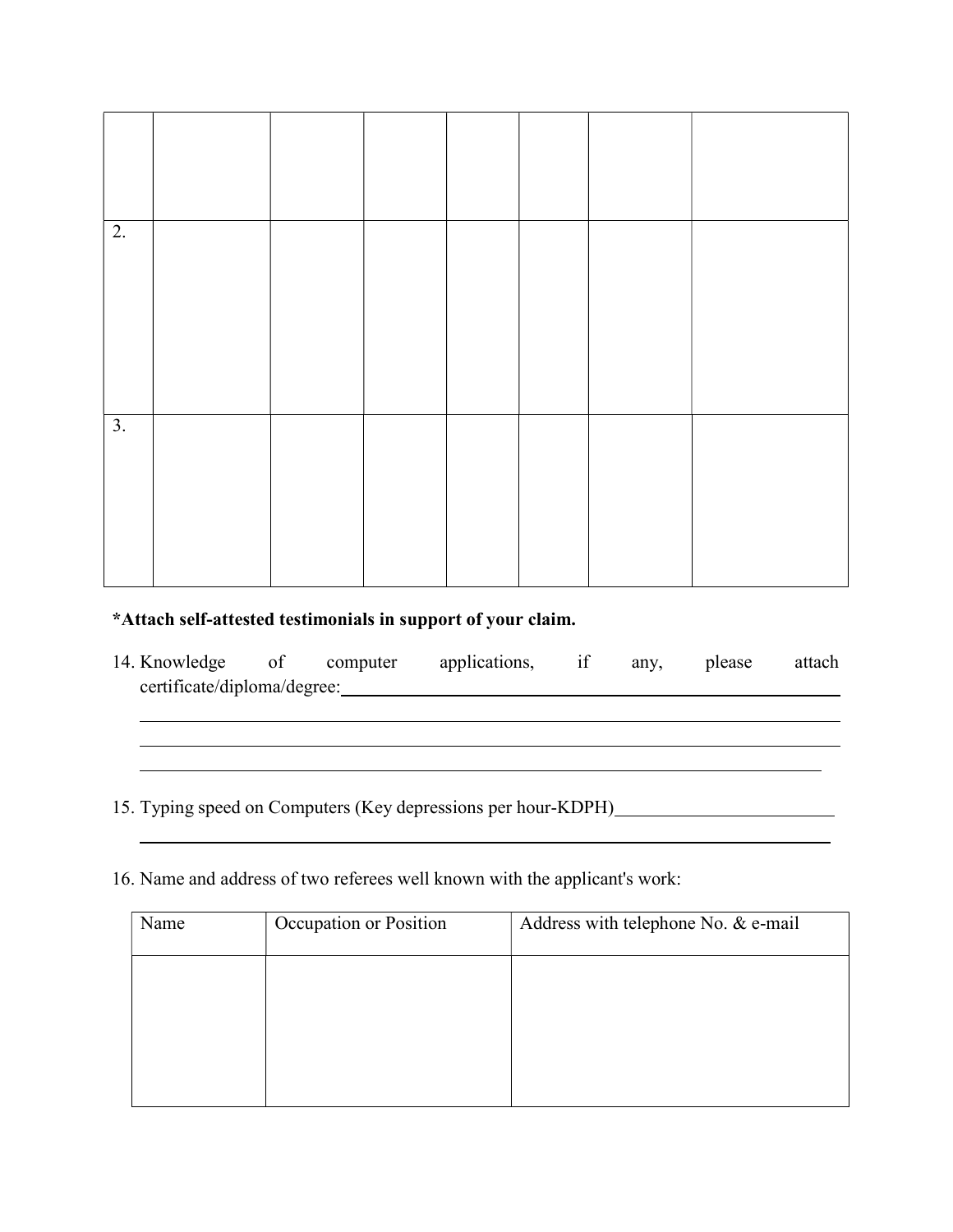| $\overline{2}$ . |  |  |  |  |
|------------------|--|--|--|--|
|                  |  |  |  |  |
| $\overline{3}$ . |  |  |  |  |
|                  |  |  |  |  |

### \*Attach self-attested testimonials in support of your claim.

14. Knowledge of computer applications, if any, please attach certificate/diploma/degree:

<u> 1989 - Johann Barn, mars and de Brasilian (b. 1989)</u>

<u> 1989 - Johann Stoff, amerikansk politiker (d. 1989)</u> <u> 1990 - Jan James James Barnett, fransk politik (d. 1980)</u>

15. Typing speed on Computers (Key depressions per hour-KDPH)

16. Name and address of two referees well known with the applicant's work:

| Name | Occupation or Position | Address with telephone No. & e-mail |
|------|------------------------|-------------------------------------|
|      |                        |                                     |
|      |                        |                                     |
|      |                        |                                     |
|      |                        |                                     |
|      |                        |                                     |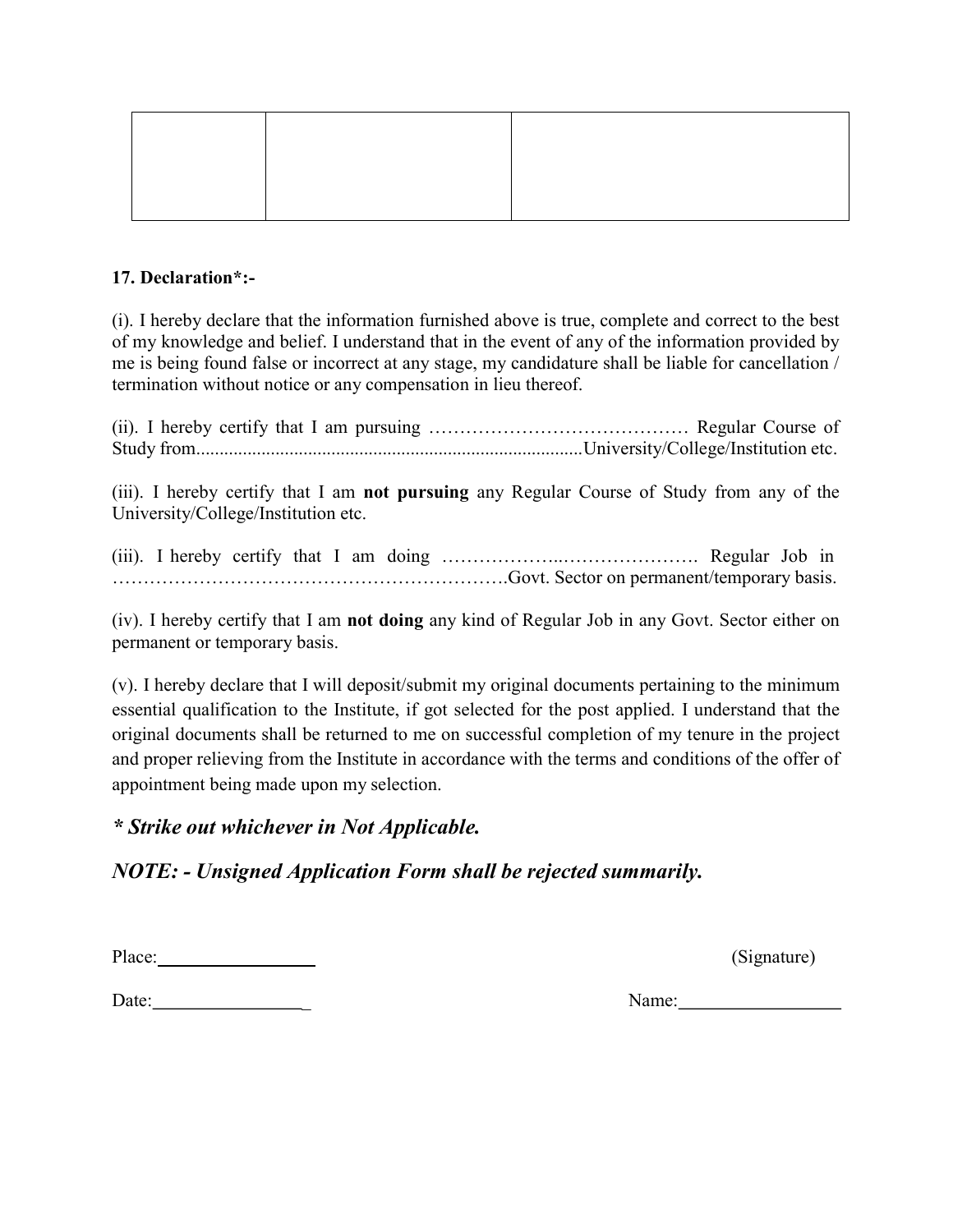#### 17. Declaration\*:-

(i). I hereby declare that the information furnished above is true, complete and correct to the best of my knowledge and belief. I understand that in the event of any of the information provided by me is being found false or incorrect at any stage, my candidature shall be liable for cancellation / termination without notice or any compensation in lieu thereof.

(ii). I hereby certify that I am pursuing …………………………………… Regular Course of Study from................................................................................... University/College/Institution etc.

(iii). I hereby certify that I am not pursuing any Regular Course of Study from any of the University/College/Institution etc.

(iii). I hereby certify that I am doing ………………..…………………. Regular Job in ……………………………………………………….Govt. Sector on permanent/temporary basis.

(iv). I hereby certify that I am not doing any kind of Regular Job in any Govt. Sector either on permanent or temporary basis.

(v). I hereby declare that I will deposit/submit my original documents pertaining to the minimum essential qualification to the Institute, if got selected for the post applied. I understand that the original documents shall be returned to me on successful completion of my tenure in the project and proper relieving from the Institute in accordance with the terms and conditions of the offer of appointment being made upon my selection.

### \* Strike out whichever in Not Applicable.

## NOTE: - Unsigned Application Form shall be rejected summarily.

Place: (Signature)

Date: Name: